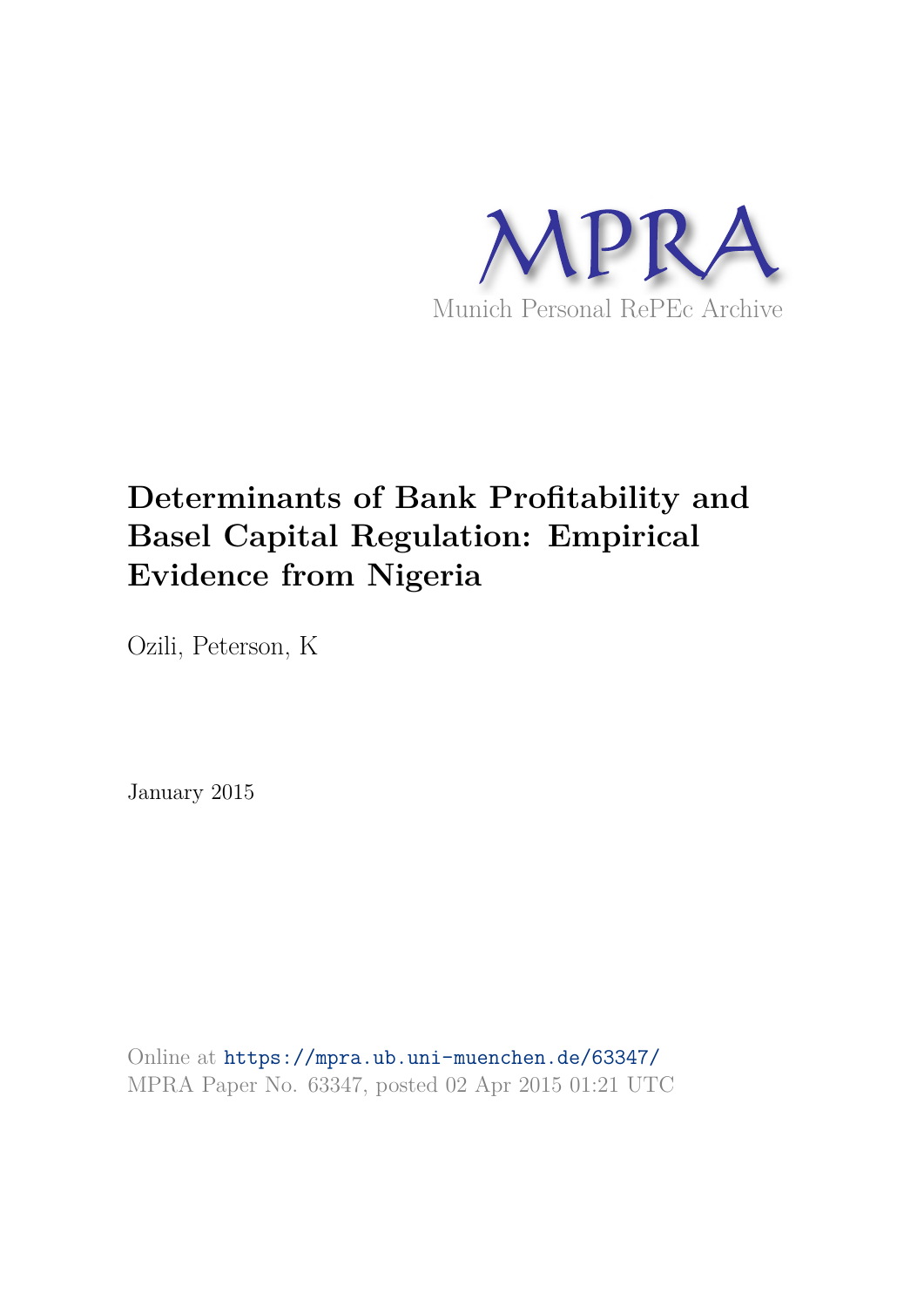

# **Determinants of Bank Profitability and Basel Capital Regulation: Empirical Evidence from Nigeria**

Ozili, Peterson, K

January 2015

Online at https://mpra.ub.uni-muenchen.de/63347/ MPRA Paper No. 63347, posted 02 Apr 2015 01:21 UTC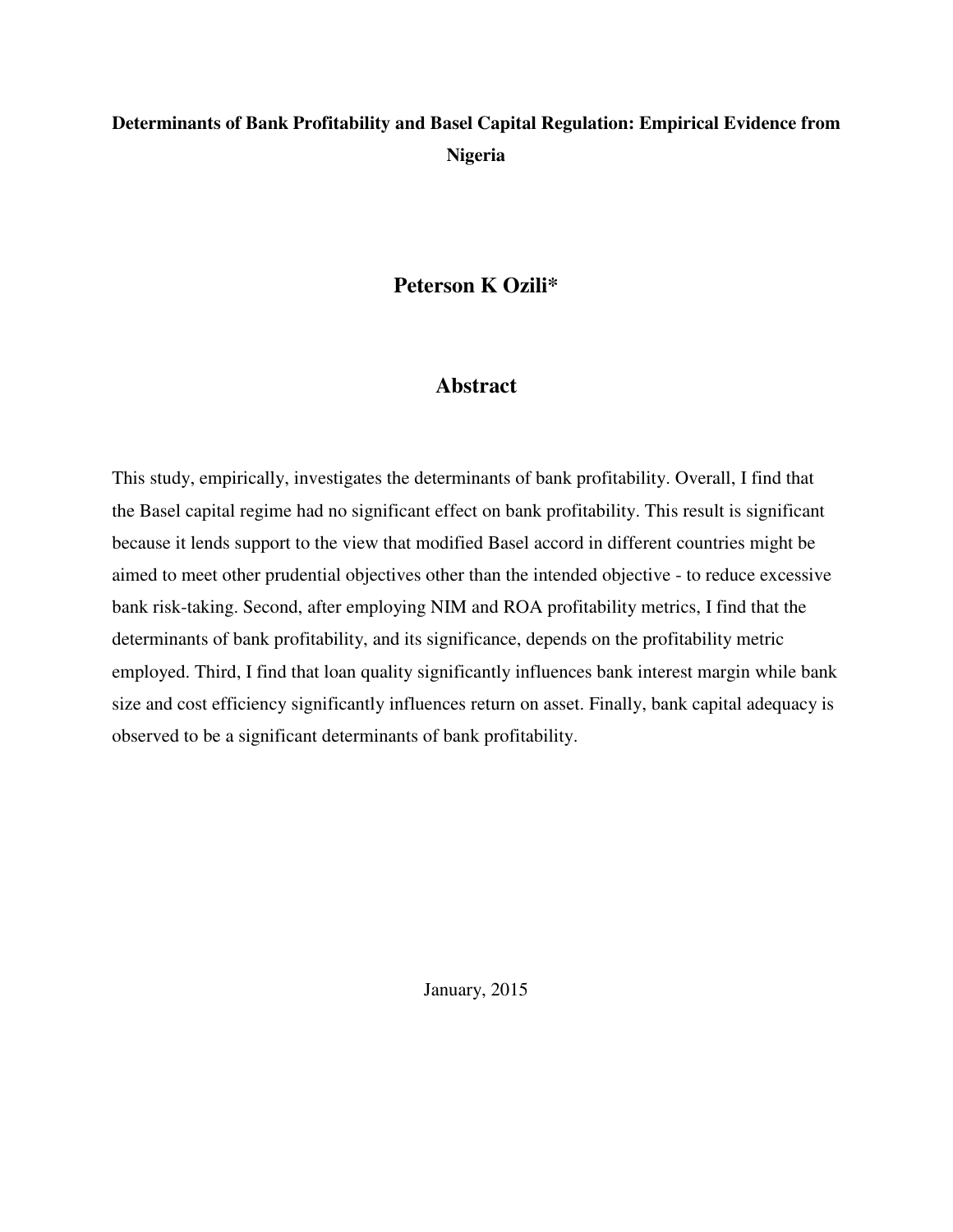# **Determinants of Bank Profitability and Basel Capital Regulation: Empirical Evidence from Nigeria**

# **Peterson K Ozili\***

# **Abstract**

This study, empirically, investigates the determinants of bank profitability. Overall, I find that the Basel capital regime had no significant effect on bank profitability. This result is significant because it lends support to the view that modified Basel accord in different countries might be aimed to meet other prudential objectives other than the intended objective - to reduce excessive bank risk-taking. Second, after employing NIM and ROA profitability metrics, I find that the determinants of bank profitability, and its significance, depends on the profitability metric employed. Third, I find that loan quality significantly influences bank interest margin while bank size and cost efficiency significantly influences return on asset. Finally, bank capital adequacy is observed to be a significant determinants of bank profitability.

January, 2015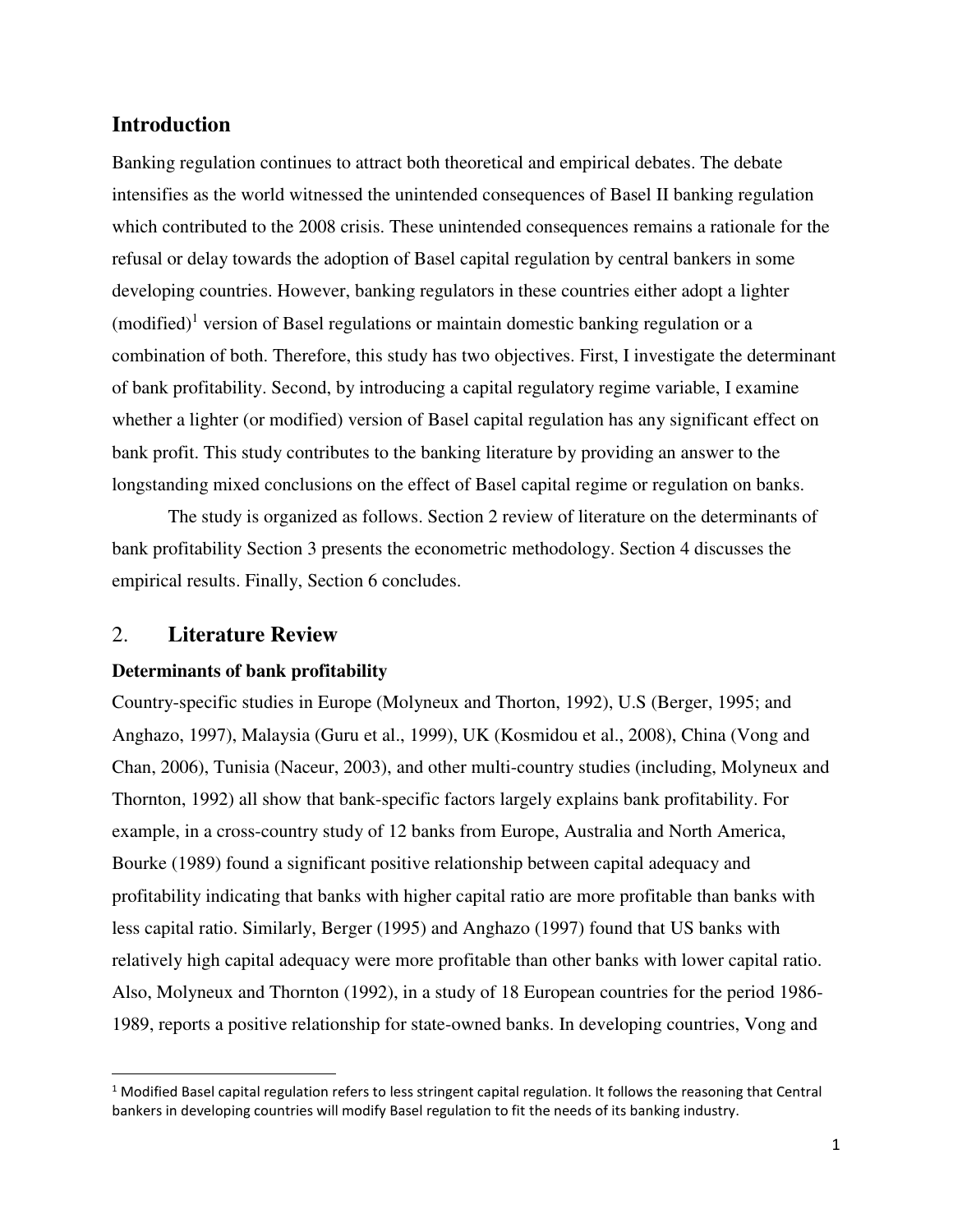# **Introduction**

Banking regulation continues to attract both theoretical and empirical debates. The debate intensifies as the world witnessed the unintended consequences of Basel II banking regulation which contributed to the 2008 crisis. These unintended consequences remains a rationale for the refusal or delay towards the adoption of Basel capital regulation by central bankers in some developing countries. However, banking regulators in these countries either adopt a lighter  $(modified)^1$  version of Basel regulations or maintain domestic banking regulation or a combination of both. Therefore, this study has two objectives. First, I investigate the determinant of bank profitability. Second, by introducing a capital regulatory regime variable, I examine whether a lighter (or modified) version of Basel capital regulation has any significant effect on bank profit. This study contributes to the banking literature by providing an answer to the longstanding mixed conclusions on the effect of Basel capital regime or regulation on banks.

The study is organized as follows. Section 2 review of literature on the determinants of bank profitability Section 3 presents the econometric methodology. Section 4 discusses the empirical results. Finally, Section 6 concludes.

# 2. **Literature Review**

 $\overline{\phantom{0}}$ 

#### **Determinants of bank profitability**

Country-specific studies in Europe (Molyneux and Thorton, 1992), U.S (Berger, 1995; and Anghazo, 1997), Malaysia (Guru et al., 1999), UK (Kosmidou et al., 2008), China (Vong and Chan, 2006), Tunisia (Naceur, 2003), and other multi-country studies (including, Molyneux and Thornton, 1992) all show that bank-specific factors largely explains bank profitability. For example, in a cross-country study of 12 banks from Europe, Australia and North America, Bourke (1989) found a significant positive relationship between capital adequacy and profitability indicating that banks with higher capital ratio are more profitable than banks with less capital ratio. Similarly, Berger (1995) and Anghazo (1997) found that US banks with relatively high capital adequacy were more profitable than other banks with lower capital ratio. Also, Molyneux and Thornton (1992), in a study of 18 European countries for the period 1986- 1989, reports a positive relationship for state-owned banks. In developing countries, Vong and

<sup>&</sup>lt;sup>1</sup> Modified Basel capital regulation refers to less stringent capital regulation. It follows the reasoning that Central bankers in developing countries will modify Basel regulation to fit the needs of its banking industry.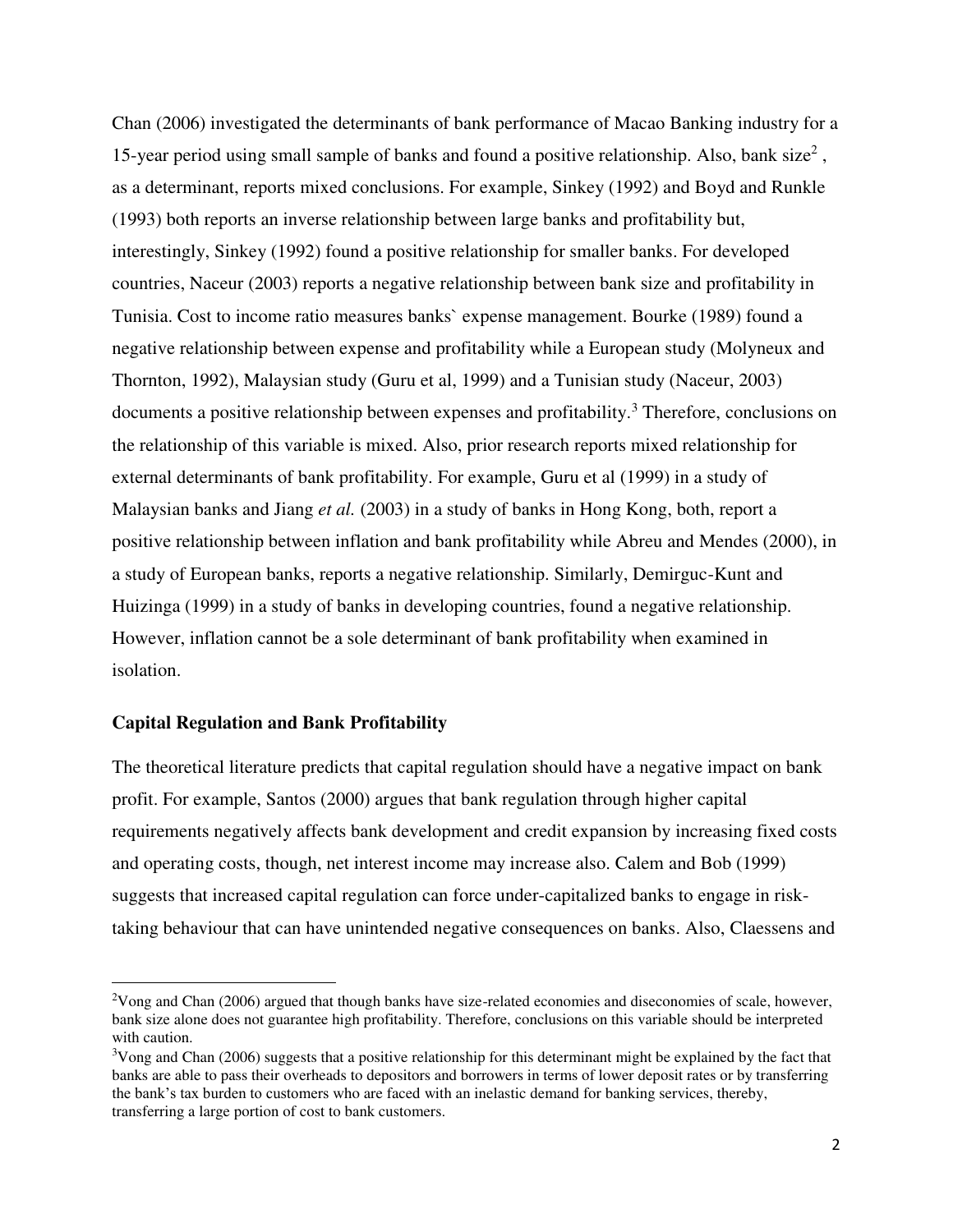Chan (2006) investigated the determinants of bank performance of Macao Banking industry for a 15-year period using small sample of banks and found a positive relationship. Also, bank size<sup>2</sup>, as a determinant, reports mixed conclusions. For example, Sinkey (1992) and Boyd and Runkle (1993) both reports an inverse relationship between large banks and profitability but, interestingly, Sinkey (1992) found a positive relationship for smaller banks. For developed countries, Naceur (2003) reports a negative relationship between bank size and profitability in Tunisia. Cost to income ratio measures banks` expense management. Bourke (1989) found a negative relationship between expense and profitability while a European study (Molyneux and Thornton, 1992), Malaysian study (Guru et al, 1999) and a Tunisian study (Naceur, 2003) documents a positive relationship between expenses and profitability.<sup>3</sup> Therefore, conclusions on the relationship of this variable is mixed. Also, prior research reports mixed relationship for external determinants of bank profitability. For example, Guru et al (1999) in a study of Malaysian banks and Jiang *et al.* (2003) in a study of banks in Hong Kong, both, report a positive relationship between inflation and bank profitability while Abreu and Mendes (2000), in a study of European banks, reports a negative relationship. Similarly, Demirguc-Kunt and Huizinga (1999) in a study of banks in developing countries, found a negative relationship. However, inflation cannot be a sole determinant of bank profitability when examined in isolation.

## **Capital Regulation and Bank Profitability**

l

The theoretical literature predicts that capital regulation should have a negative impact on bank profit. For example, Santos (2000) argues that bank regulation through higher capital requirements negatively affects bank development and credit expansion by increasing fixed costs and operating costs, though, net interest income may increase also. Calem and Bob (1999) suggests that increased capital regulation can force under-capitalized banks to engage in risktaking behaviour that can have unintended negative consequences on banks. Also, Claessens and

<sup>&</sup>lt;sup>2</sup>Vong and Chan (2006) argued that though banks have size-related economies and diseconomies of scale, however, bank size alone does not guarantee high profitability. Therefore, conclusions on this variable should be interpreted with caution.

<sup>&</sup>lt;sup>3</sup>Vong and Chan (2006) suggests that a positive relationship for this determinant might be explained by the fact that banks are able to pass their overheads to depositors and borrowers in terms of lower deposit rates or by transferring the bank's tax burden to customers who are faced with an inelastic demand for banking services, thereby, transferring a large portion of cost to bank customers.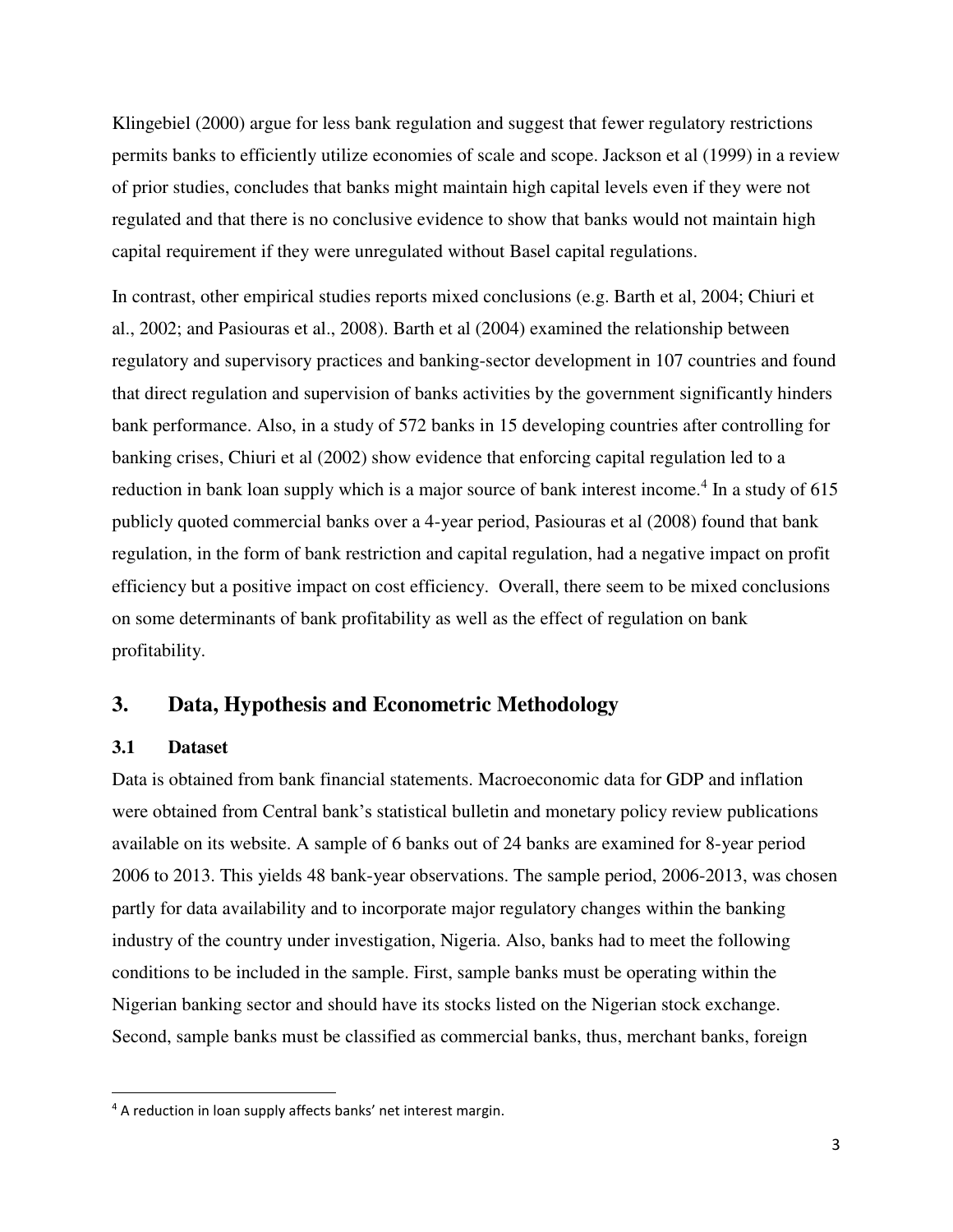Klingebiel (2000) argue for less bank regulation and suggest that fewer regulatory restrictions permits banks to efficiently utilize economies of scale and scope. Jackson et al (1999) in a review of prior studies, concludes that banks might maintain high capital levels even if they were not regulated and that there is no conclusive evidence to show that banks would not maintain high capital requirement if they were unregulated without Basel capital regulations.

In contrast, other empirical studies reports mixed conclusions (e.g. Barth et al, 2004; Chiuri et al., 2002; and Pasiouras et al., 2008). Barth et al (2004) examined the relationship between regulatory and supervisory practices and banking-sector development in 107 countries and found that direct regulation and supervision of banks activities by the government significantly hinders bank performance. Also, in a study of 572 banks in 15 developing countries after controlling for banking crises, Chiuri et al (2002) show evidence that enforcing capital regulation led to a reduction in bank loan supply which is a major source of bank interest income.<sup>4</sup> In a study of 615 publicly quoted commercial banks over a 4-year period, Pasiouras et al (2008) found that bank regulation, in the form of bank restriction and capital regulation, had a negative impact on profit efficiency but a positive impact on cost efficiency. Overall, there seem to be mixed conclusions on some determinants of bank profitability as well as the effect of regulation on bank profitability.

# **3. Data, Hypothesis and Econometric Methodology**

# **3.1 Dataset**

l

Data is obtained from bank financial statements. Macroeconomic data for GDP and inflation were obtained from Central bank's statistical bulletin and monetary policy review publications available on its website. A sample of 6 banks out of 24 banks are examined for 8-year period 2006 to 2013. This yields 48 bank-year observations. The sample period, 2006-2013, was chosen partly for data availability and to incorporate major regulatory changes within the banking industry of the country under investigation, Nigeria. Also, banks had to meet the following conditions to be included in the sample. First, sample banks must be operating within the Nigerian banking sector and should have its stocks listed on the Nigerian stock exchange. Second, sample banks must be classified as commercial banks, thus, merchant banks, foreign

<sup>4</sup> A reduction in loan supply affects banks' net interest margin.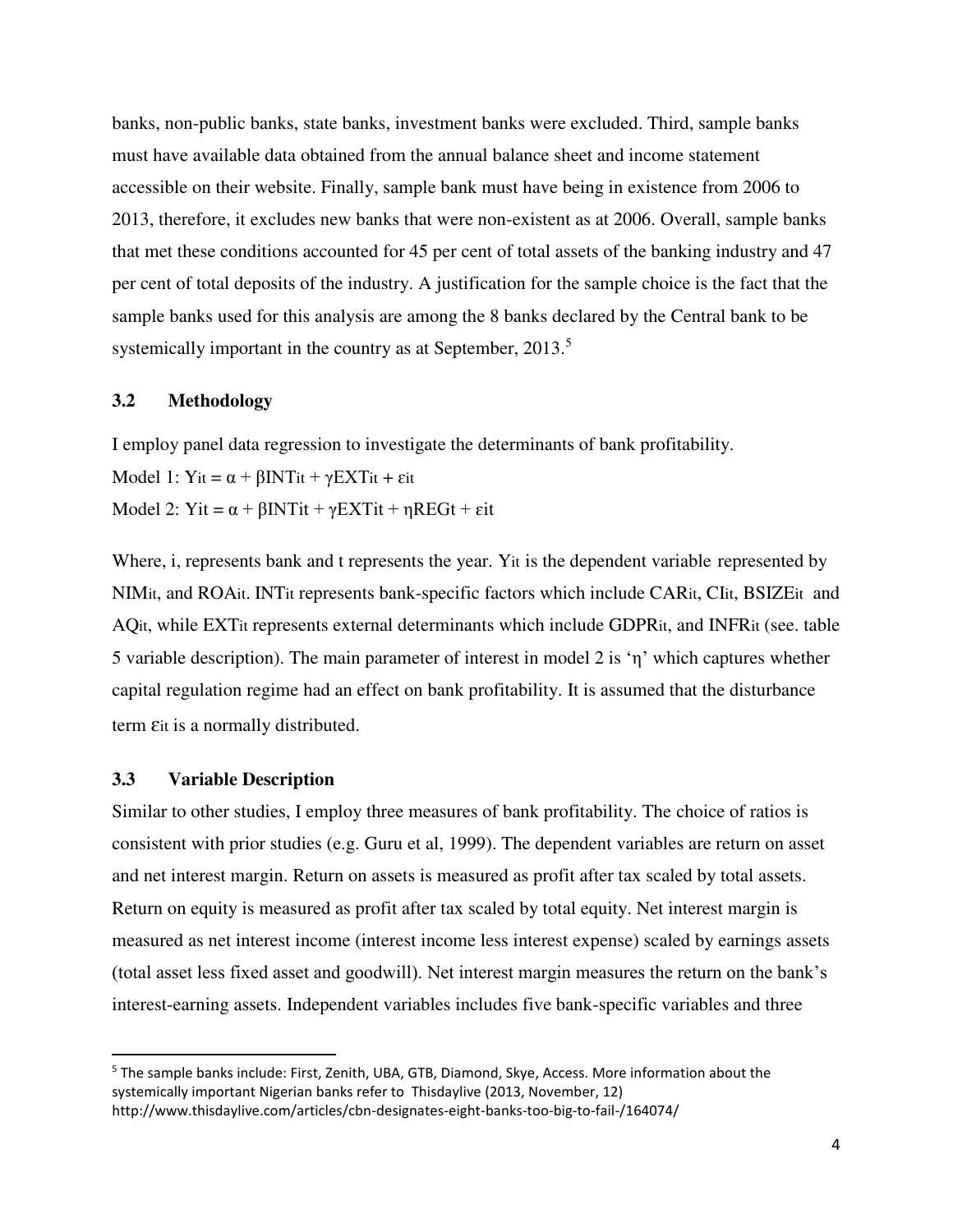banks, non-public banks, state banks, investment banks were excluded. Third, sample banks must have available data obtained from the annual balance sheet and income statement accessible on their website. Finally, sample bank must have being in existence from 2006 to 2013, therefore, it excludes new banks that were non-existent as at 2006. Overall, sample banks that met these conditions accounted for 45 per cent of total assets of the banking industry and 47 per cent of total deposits of the industry. A justification for the sample choice is the fact that the sample banks used for this analysis are among the 8 banks declared by the Central bank to be systemically important in the country as at September, 2013.<sup>5</sup>

#### **3.2 Methodology**

I employ panel data regression to investigate the determinants of bank profitability.

Model 1: Yit =  $\alpha$  +  $\beta$ INTit +  $\gamma$ EXTit +  $\varepsilon$ it Model 2: Yit =  $\alpha$  +  $\beta$ INTit +  $\gamma$ EXTit +  $\eta$ REGt +  $\varepsilon$ it

Where, i, represents bank and t represents the year. Yit is the dependent variable represented by NIMit, and ROAit. INTit represents bank-specific factors which include CARit, CIit, BSIZEit and AQit, while EXTit represents external determinants which include GDPRit, and INFRit (see. table 5 variable description). The main parameter of interest in model 2 is 'η' which captures whether capital regulation regime had an effect on bank profitability. It is assumed that the disturbance term ɛit is a normally distributed.

### **3.3 Variable Description**

l

Similar to other studies, I employ three measures of bank profitability. The choice of ratios is consistent with prior studies (e.g. Guru et al, 1999). The dependent variables are return on asset and net interest margin. Return on assets is measured as profit after tax scaled by total assets. Return on equity is measured as profit after tax scaled by total equity. Net interest margin is measured as net interest income (interest income less interest expense) scaled by earnings assets (total asset less fixed asset and goodwill). Net interest margin measures the return on the bank's interest-earning assets. Independent variables includes five bank-specific variables and three

<sup>&</sup>lt;sup>5</sup> The sample banks include: First, Zenith, UBA, GTB, Diamond, Skye, Access. More information about the systemically important Nigerian banks refer to Thisdaylive (2013, November, 12) http://www.thisdaylive.com/articles/cbn-designates-eight-banks-too-big-to-fail-/164074/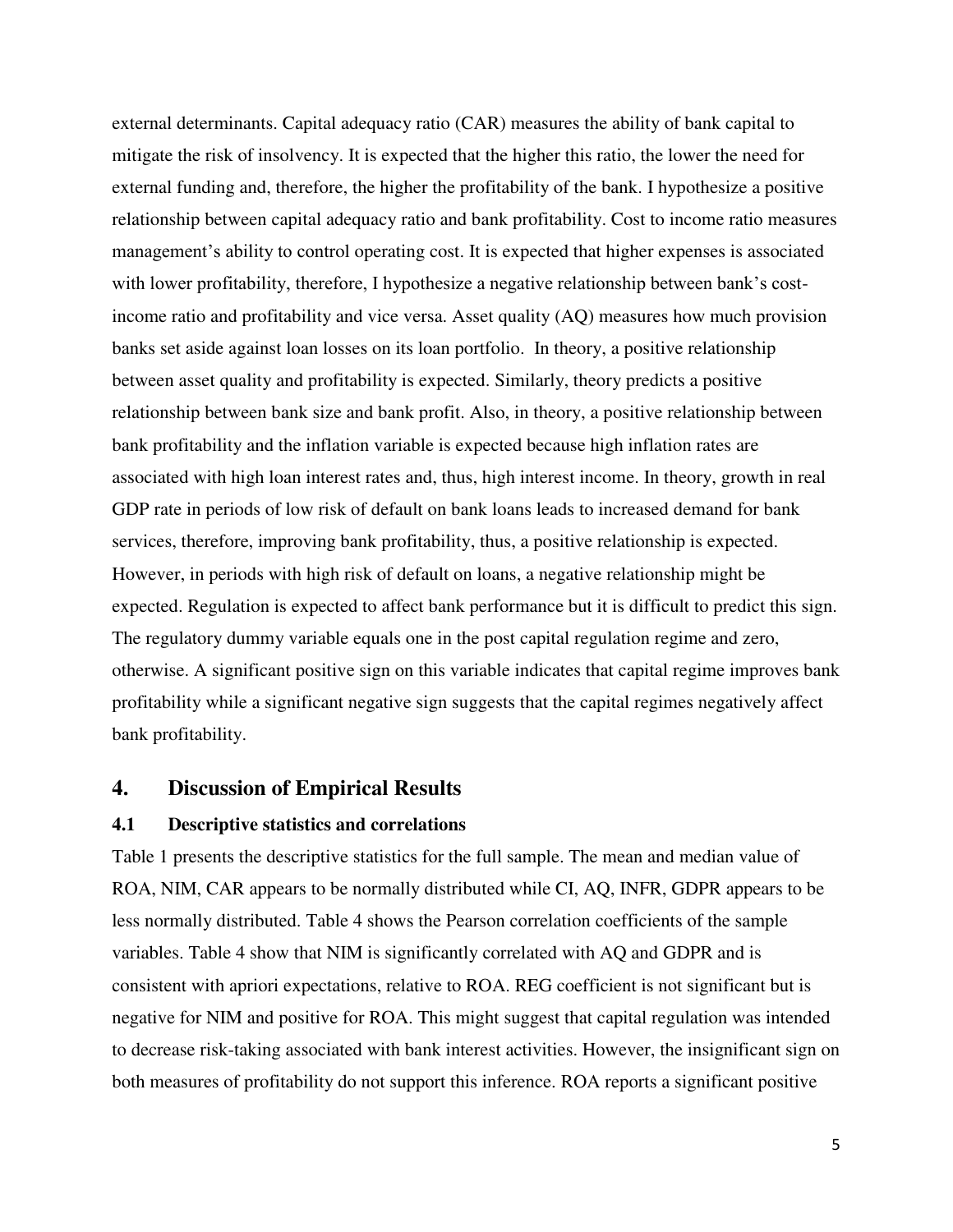external determinants. Capital adequacy ratio (CAR) measures the ability of bank capital to mitigate the risk of insolvency. It is expected that the higher this ratio, the lower the need for external funding and, therefore, the higher the profitability of the bank. I hypothesize a positive relationship between capital adequacy ratio and bank profitability. Cost to income ratio measures management's ability to control operating cost. It is expected that higher expenses is associated with lower profitability, therefore, I hypothesize a negative relationship between bank's costincome ratio and profitability and vice versa. Asset quality (AQ) measures how much provision banks set aside against loan losses on its loan portfolio. In theory, a positive relationship between asset quality and profitability is expected. Similarly, theory predicts a positive relationship between bank size and bank profit. Also, in theory, a positive relationship between bank profitability and the inflation variable is expected because high inflation rates are associated with high loan interest rates and, thus, high interest income. In theory, growth in real GDP rate in periods of low risk of default on bank loans leads to increased demand for bank services, therefore, improving bank profitability, thus, a positive relationship is expected. However, in periods with high risk of default on loans, a negative relationship might be expected. Regulation is expected to affect bank performance but it is difficult to predict this sign. The regulatory dummy variable equals one in the post capital regulation regime and zero, otherwise. A significant positive sign on this variable indicates that capital regime improves bank profitability while a significant negative sign suggests that the capital regimes negatively affect bank profitability.

# **4. Discussion of Empirical Results**

# **4.1 Descriptive statistics and correlations**

Table 1 presents the descriptive statistics for the full sample. The mean and median value of ROA, NIM, CAR appears to be normally distributed while CI, AQ, INFR, GDPR appears to be less normally distributed. Table 4 shows the Pearson correlation coefficients of the sample variables. Table 4 show that NIM is significantly correlated with AQ and GDPR and is consistent with apriori expectations, relative to ROA. REG coefficient is not significant but is negative for NIM and positive for ROA. This might suggest that capital regulation was intended to decrease risk-taking associated with bank interest activities. However, the insignificant sign on both measures of profitability do not support this inference. ROA reports a significant positive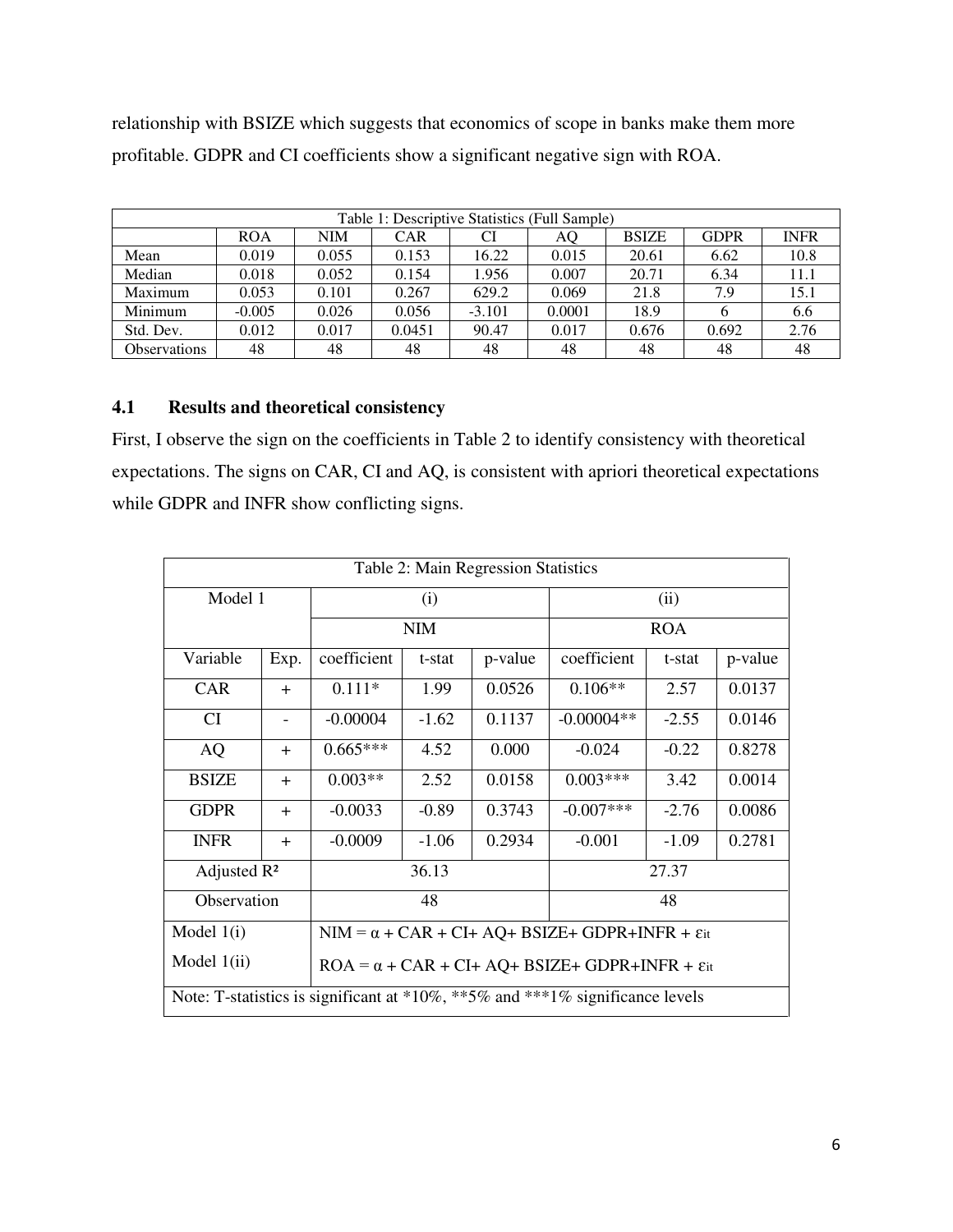relationship with BSIZE which suggests that economics of scope in banks make them more profitable. GDPR and CI coefficients show a significant negative sign with ROA.

| Table 1: Descriptive Statistics (Full Sample) |            |            |            |          |        |              |             |             |
|-----------------------------------------------|------------|------------|------------|----------|--------|--------------|-------------|-------------|
|                                               | <b>ROA</b> | <b>NIM</b> | <b>CAR</b> | CI       | AO     | <b>BSIZE</b> | <b>GDPR</b> | <b>INFR</b> |
| Mean                                          | 0.019      | 0.055      | 0.153      | 16.22    | 0.015  | 20.61        | 6.62        | 10.8        |
| Median                                        | 0.018      | 0.052      | 0.154      | 1.956    | 0.007  | 20.71        | 6.34        | 11.1        |
| Maximum                                       | 0.053      | 0.101      | 0.267      | 629.2    | 0.069  | 21.8         | 7.9         | 15.1        |
| Minimum                                       | $-0.005$   | 0.026      | 0.056      | $-3.101$ | 0.0001 | 18.9         |             | 6.6         |
| Std. Dev.                                     | 0.012      | 0.017      | 0.0451     | 90.47    | 0.017  | 0.676        | 0.692       | 2.76        |
| Observations                                  | 48         | 48         | 48         | 48       | 48     | 48           | 48          | 48          |

# **4.1 Results and theoretical consistency**

First, I observe the sign on the coefficients in Table 2 to identify consistency with theoretical expectations. The signs on CAR, CI and AQ, is consistent with apriori theoretical expectations while GDPR and INFR show conflicting signs.

| Table 2: Main Regression Statistics                                           |        |                                                                    |         |         |              |         |         |  |  |
|-------------------------------------------------------------------------------|--------|--------------------------------------------------------------------|---------|---------|--------------|---------|---------|--|--|
| Model 1                                                                       |        |                                                                    | (i)     |         | (ii)         |         |         |  |  |
|                                                                               |        | <b>NIM</b>                                                         |         |         | <b>ROA</b>   |         |         |  |  |
| Variable                                                                      | Exp.   | coefficient                                                        | t-stat  | p-value | coefficient  | t-stat  | p-value |  |  |
| <b>CAR</b>                                                                    | $^{+}$ | $0.111*$<br>1.99<br>0.0526                                         |         |         | $0.106**$    | 2.57    | 0.0137  |  |  |
| <b>CI</b>                                                                     |        | $-0.00004$<br>$-1.62$<br>0.1137                                    |         |         | $-0.00004**$ | $-2.55$ | 0.0146  |  |  |
| AQ                                                                            | $+$    | 0.000<br>$0.665***$<br>4.52                                        |         |         | $-0.024$     | $-0.22$ | 0.8278  |  |  |
| <b>BSIZE</b>                                                                  | $+$    | $0.003**$<br>2.52<br>0.0158                                        |         |         | $0.003***$   | 3.42    | 0.0014  |  |  |
| <b>GDPR</b>                                                                   | $\pm$  | $-0.0033$<br>$-0.89$<br>0.3743                                     |         |         | $-0.007$ *** | $-2.76$ | 0.0086  |  |  |
| <b>INFR</b>                                                                   | $^{+}$ | $-0.0009$                                                          | $-1.06$ | 0.2934  | $-0.001$     | $-1.09$ | 0.2781  |  |  |
| Adjusted $\mathbb{R}^2$                                                       |        | 36.13                                                              |         |         | 27.37        |         |         |  |  |
| Observation                                                                   |        | 48                                                                 |         |         | 48           |         |         |  |  |
| Model $1(i)$                                                                  |        | $NIM = \alpha + CAR + CI + AQ + BSIZE + GDPR + INFR + \epsilon$    |         |         |              |         |         |  |  |
| Model $1(i)$                                                                  |        | $ROA = \alpha + CAR + CI + AQ + BSIZE + GDPR + INFR + \epsilon$ it |         |         |              |         |         |  |  |
| Note: T-statistics is significant at *10%, **5% and ***1% significance levels |        |                                                                    |         |         |              |         |         |  |  |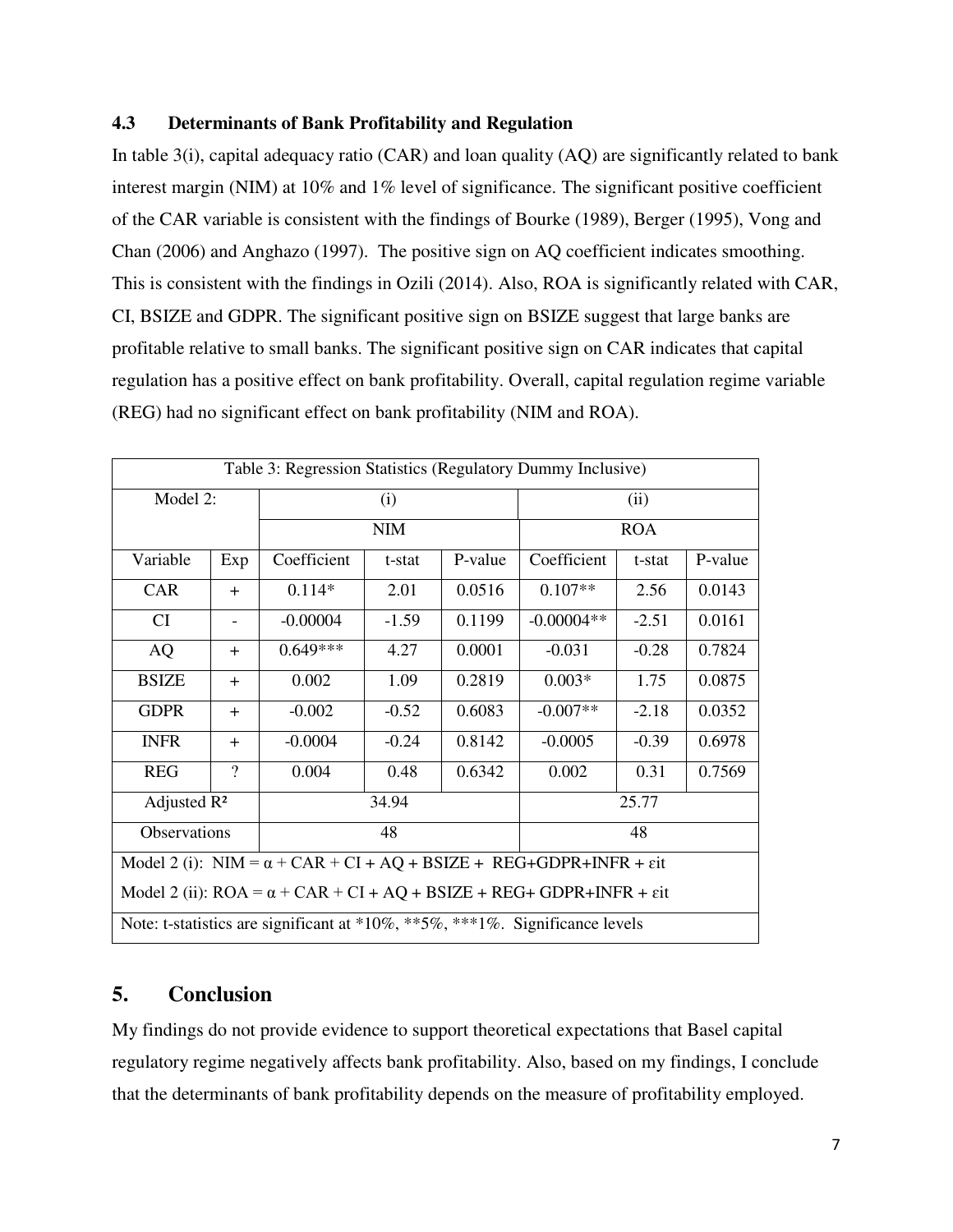# **4.3 Determinants of Bank Profitability and Regulation**

In table  $3(i)$ , capital adequacy ratio (CAR) and loan quality (AQ) are significantly related to bank interest margin (NIM) at 10% and 1% level of significance. The significant positive coefficient of the CAR variable is consistent with the findings of Bourke (1989), Berger (1995), Vong and Chan (2006) and Anghazo (1997). The positive sign on AQ coefficient indicates smoothing. This is consistent with the findings in Ozili (2014). Also, ROA is significantly related with CAR, CI, BSIZE and GDPR. The significant positive sign on BSIZE suggest that large banks are profitable relative to small banks. The significant positive sign on CAR indicates that capital regulation has a positive effect on bank profitability. Overall, capital regulation regime variable (REG) had no significant effect on bank profitability (NIM and ROA).

| Table 3: Regression Statistics (Regulatory Dummy Inclusive)                            |                |                                 |            |           |              |         |         |  |
|----------------------------------------------------------------------------------------|----------------|---------------------------------|------------|-----------|--------------|---------|---------|--|
| Model 2:                                                                               |                |                                 | (i)        |           | (ii)         |         |         |  |
|                                                                                        |                |                                 | <b>NIM</b> |           | <b>ROA</b>   |         |         |  |
| Variable                                                                               | Exp            | Coefficient                     | t-stat     | P-value   | Coefficient  | t-stat  | P-value |  |
| CAR                                                                                    | $^{+}$         | $0.114*$                        | 2.01       | 0.0516    | $0.107**$    | 2.56    | 0.0143  |  |
| CI                                                                                     |                | $-0.00004$<br>$-1.59$<br>0.1199 |            |           | $-0.00004**$ | $-2.51$ | 0.0161  |  |
| <b>AQ</b>                                                                              | $\pm$          | $0.649***$<br>0.0001<br>4.27    |            |           | $-0.031$     | $-0.28$ | 0.7824  |  |
| <b>BSIZE</b>                                                                           | $^{+}$         | 0.002                           | 1.09       | 0.2819    | $0.003*$     | 1.75    | 0.0875  |  |
| <b>GDPR</b>                                                                            | $\pm$          | $-0.002$<br>$-0.52$<br>0.6083   |            |           | $-0.007**$   | $-2.18$ | 0.0352  |  |
| <b>INFR</b>                                                                            | $\pm$          | $-0.24$<br>$-0.0004$<br>0.8142  |            | $-0.0005$ | $-0.39$      | 0.6978  |         |  |
| <b>REG</b>                                                                             | $\overline{?}$ | 0.004                           | 0.48       | 0.6342    | 0.002        | 0.31    | 0.7569  |  |
| Adjusted $R^2$<br>34.94                                                                |                |                                 |            |           | 25.77        |         |         |  |
| Observations<br>48<br>48                                                               |                |                                 |            |           |              |         |         |  |
| Model 2 (i): NIM = $\alpha$ + CAR + CI + AQ + BSIZE + REG+GDPR+INFR + $\epsilon$ it    |                |                                 |            |           |              |         |         |  |
| Model 2 (ii): $ROA = \alpha + CAR + CI + AQ + BSIZE + REG + GDPR + INFR + \epsilon it$ |                |                                 |            |           |              |         |         |  |
| Note: t-statistics are significant at *10%, **5%, ***1%. Significance levels           |                |                                 |            |           |              |         |         |  |

# **5. Conclusion**

My findings do not provide evidence to support theoretical expectations that Basel capital regulatory regime negatively affects bank profitability. Also, based on my findings, I conclude that the determinants of bank profitability depends on the measure of profitability employed.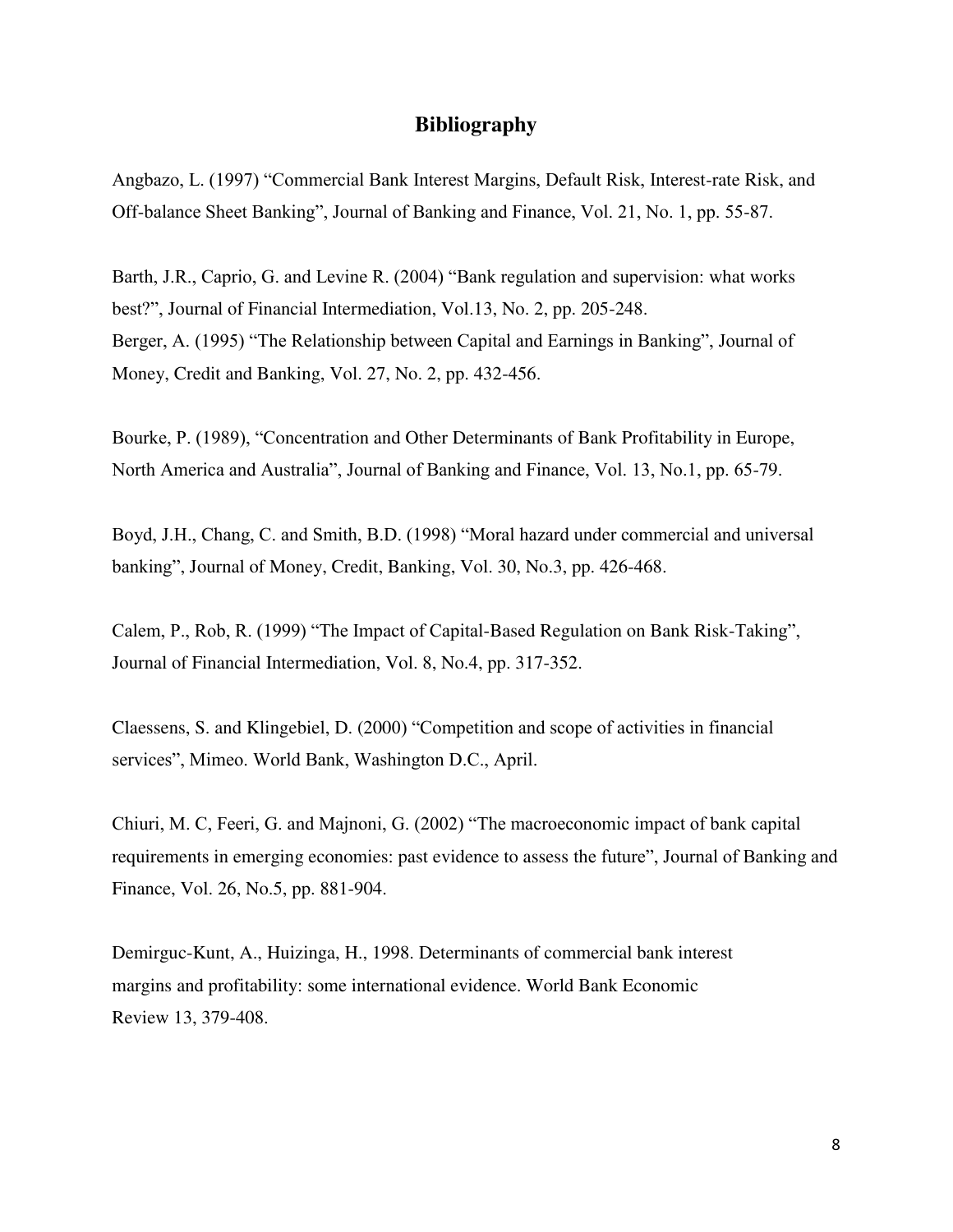# **Bibliography**

Angbazo, L. (1997) "Commercial Bank Interest Margins, Default Risk, Interest-rate Risk, and Off-balance Sheet Banking", Journal of Banking and Finance, Vol. 21, No. 1, pp. 55-87.

Barth, J.R., Caprio, G. and Levine R. (2004) "Bank regulation and supervision: what works best?", Journal of Financial Intermediation, Vol.13, No. 2, pp. 205-248. Berger, A. (1995) "The Relationship between Capital and Earnings in Banking", Journal of Money, Credit and Banking, Vol. 27, No. 2, pp. 432-456.

Bourke, P. (1989), "Concentration and Other Determinants of Bank Profitability in Europe, North America and Australia", Journal of Banking and Finance, Vol. 13, No.1, pp. 65-79.

Boyd, J.H., Chang, C. and Smith, B.D. (1998) "Moral hazard under commercial and universal banking", Journal of Money, Credit, Banking, Vol. 30, No.3, pp. 426-468.

Calem, P., Rob, R. (1999) "The Impact of Capital-Based Regulation on Bank Risk-Taking", Journal of Financial Intermediation, Vol. 8, No.4, pp. 317-352.

Claessens, S. and Klingebiel, D. (2000) "Competition and scope of activities in financial services", Mimeo. World Bank, Washington D.C., April.

Chiuri, M. C, Feeri, G. and Majnoni, G. (2002) "The macroeconomic impact of bank capital requirements in emerging economies: past evidence to assess the future", Journal of Banking and Finance, Vol. 26, No.5, pp. 881-904.

Demirguc-Kunt, A., Huizinga, H., 1998. Determinants of commercial bank interest margins and profitability: some international evidence. World Bank Economic Review 13, 379-408.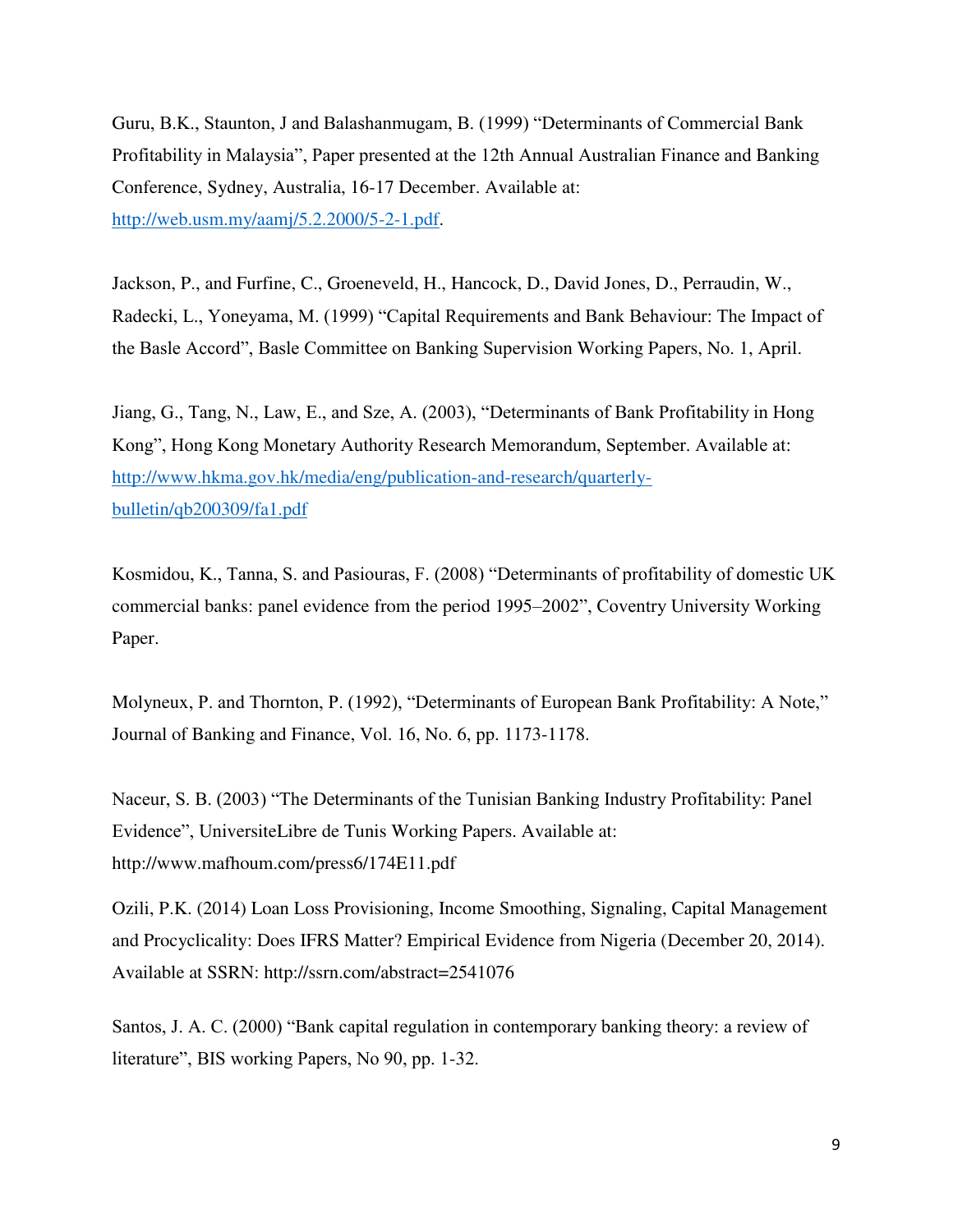Guru, B.K., Staunton, J and Balashanmugam, B. (1999) "Determinants of Commercial Bank Profitability in Malaysia", Paper presented at the 12th Annual Australian Finance and Banking Conference, Sydney, Australia, 16-17 December. Available at: http://web.usm.my/aamj/5.2.2000/5-2-1.pdf.

Jackson, P., and Furfine, C., Groeneveld, H., Hancock, D., David Jones, D., Perraudin, W., Radecki, L., Yoneyama, M. (1999) "Capital Requirements and Bank Behaviour: The Impact of the Basle Accord", Basle Committee on Banking Supervision Working Papers, No. 1, April.

Jiang, G., Tang, N., Law, E., and Sze, A. (2003), "Determinants of Bank Profitability in Hong Kong", Hong Kong Monetary Authority Research Memorandum, September. Available at: http://www.hkma.gov.hk/media/eng/publication-and-research/quarterlybulletin/qb200309/fa1.pdf

Kosmidou, K., Tanna, S. and Pasiouras, F. (2008) "Determinants of profitability of domestic UK commercial banks: panel evidence from the period 1995–2002", Coventry University Working Paper.

Molyneux, P. and Thornton, P. (1992), "Determinants of European Bank Profitability: A Note," Journal of Banking and Finance, Vol. 16, No. 6, pp. 1173-1178.

Naceur, S. B. (2003) "The Determinants of the Tunisian Banking Industry Profitability: Panel Evidence", UniversiteLibre de Tunis Working Papers. Available at: http://www.mafhoum.com/press6/174E11.pdf

Ozili, P.K. (2014) Loan Loss Provisioning, Income Smoothing, Signaling, Capital Management and Procyclicality: Does IFRS Matter? Empirical Evidence from Nigeria (December 20, 2014). Available at SSRN: http://ssrn.com/abstract=2541076

Santos, J. A. C. (2000) "Bank capital regulation in contemporary banking theory: a review of literature", BIS working Papers, No 90, pp. 1-32.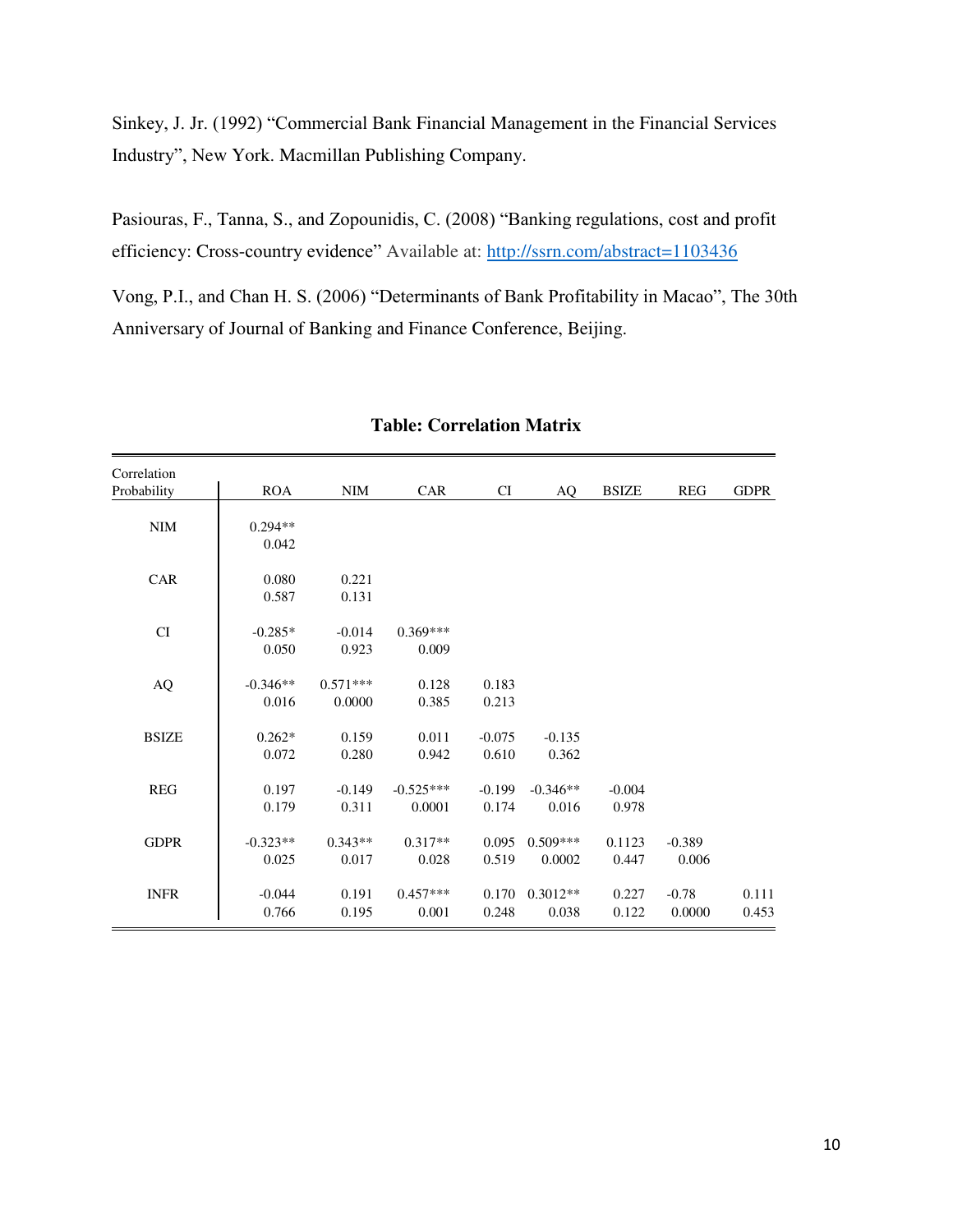Sinkey, J. Jr. (1992) "Commercial Bank Financial Management in the Financial Services Industry", New York. Macmillan Publishing Company.

Pasiouras, F., Tanna, S., and Zopounidis, C. (2008) "Banking regulations, cost and profit efficiency: Cross-country evidence" Available at: http://ssrn.com/abstract=1103436

Vong, P.I., and Chan H. S. (2006) "Determinants of Bank Profitability in Macao", The 30th Anniversary of Journal of Banking and Finance Conference, Beijing.

| <b>GDPR</b><br>Probability<br><b>ROA</b><br><b>NIM</b><br>CAR<br>CI<br><b>BSIZE</b><br>REG<br>AQ<br>NIM<br>$0.294**$<br>0.042<br>CAR<br>0.080<br>0.221<br>0.587<br>0.131<br>CI<br>$0.369***$<br>$-0.285*$<br>$-0.014$<br>0.050<br>0.923<br>0.009<br>$-0.346**$<br>$0.571***$<br>0.128<br>0.183<br>AQ<br>0.016<br>0.0000<br>0.385<br>0.213<br><b>BSIZE</b><br>0.011<br>$0.262*$<br>0.159<br>$-0.135$<br>$-0.075$<br>0.610<br>0.072<br>0.280<br>0.942<br>0.362 | Correlation |  |  |  |       |
|--------------------------------------------------------------------------------------------------------------------------------------------------------------------------------------------------------------------------------------------------------------------------------------------------------------------------------------------------------------------------------------------------------------------------------------------------------------|-------------|--|--|--|-------|
|                                                                                                                                                                                                                                                                                                                                                                                                                                                              |             |  |  |  |       |
|                                                                                                                                                                                                                                                                                                                                                                                                                                                              |             |  |  |  |       |
|                                                                                                                                                                                                                                                                                                                                                                                                                                                              |             |  |  |  |       |
|                                                                                                                                                                                                                                                                                                                                                                                                                                                              |             |  |  |  |       |
|                                                                                                                                                                                                                                                                                                                                                                                                                                                              |             |  |  |  |       |
|                                                                                                                                                                                                                                                                                                                                                                                                                                                              |             |  |  |  |       |
|                                                                                                                                                                                                                                                                                                                                                                                                                                                              |             |  |  |  |       |
|                                                                                                                                                                                                                                                                                                                                                                                                                                                              |             |  |  |  |       |
|                                                                                                                                                                                                                                                                                                                                                                                                                                                              |             |  |  |  |       |
|                                                                                                                                                                                                                                                                                                                                                                                                                                                              |             |  |  |  |       |
|                                                                                                                                                                                                                                                                                                                                                                                                                                                              |             |  |  |  |       |
|                                                                                                                                                                                                                                                                                                                                                                                                                                                              |             |  |  |  |       |
| <b>REG</b><br>$-0.149$<br>$-0.346**$<br>0.197<br>$-0.525***$<br>$-0.199$<br>$-0.004$                                                                                                                                                                                                                                                                                                                                                                         |             |  |  |  |       |
|                                                                                                                                                                                                                                                                                                                                                                                                                                                              |             |  |  |  |       |
| 0.311<br>0.174<br>0.016<br>0.179<br>0.0001<br>0.978                                                                                                                                                                                                                                                                                                                                                                                                          |             |  |  |  |       |
| <b>GDPR</b><br>$-0.323**$<br>$0.343**$<br>$0.317**$<br>0.095<br>$0.509***$<br>0.1123<br>$-0.389$                                                                                                                                                                                                                                                                                                                                                             |             |  |  |  |       |
| 0.025<br>0.017<br>0.028<br>0.519<br>0.0002<br>0.006<br>0.447                                                                                                                                                                                                                                                                                                                                                                                                 |             |  |  |  |       |
| <b>INFR</b><br>0.191<br>$0.457***$<br>0.170<br>$0.3012**$<br>$-0.78$<br>$-0.044$<br>0.227                                                                                                                                                                                                                                                                                                                                                                    |             |  |  |  | 0.111 |
| 0.038<br>0.766<br>0.001<br>0.248<br>0.122<br>0.0000<br>0.195                                                                                                                                                                                                                                                                                                                                                                                                 |             |  |  |  | 0.453 |

# **Table: Correlation Matrix**